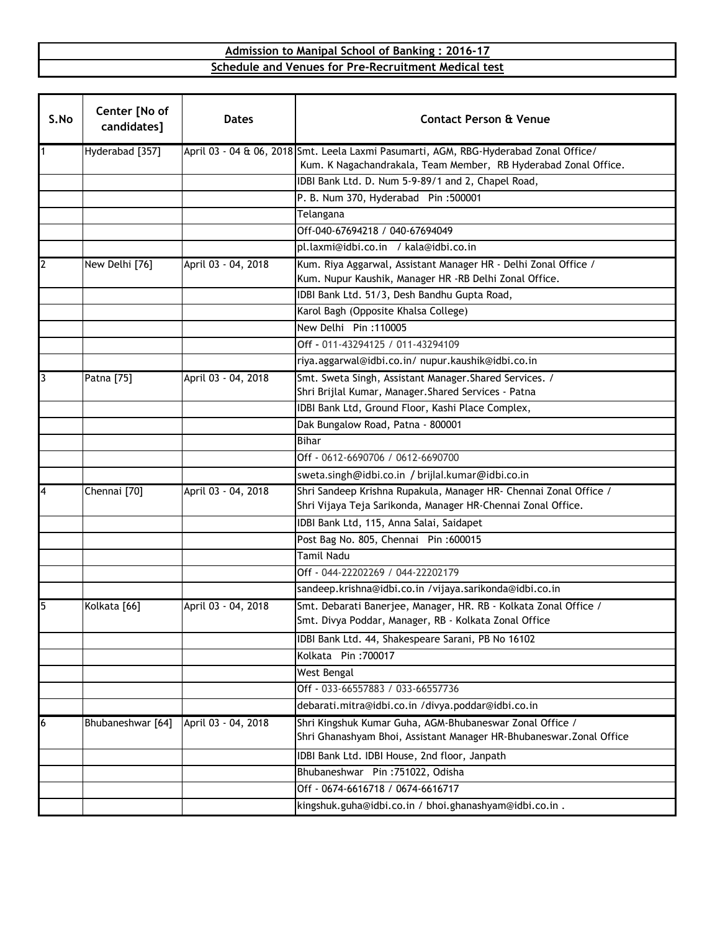## **Schedule and Venues for Pre-Recruitment Medical test Admission to Manipal School of Banking : 2016-17**

| S.No           | Center [No of<br>candidates] | <b>Dates</b>        | <b>Contact Person &amp; Venue</b>                                                                                                                        |
|----------------|------------------------------|---------------------|----------------------------------------------------------------------------------------------------------------------------------------------------------|
| $\overline{1}$ | Hyderabad [357]              |                     | April 03 - 04 & 06, 2018 Smt. Leela Laxmi Pasumarti, AGM, RBG-Hyderabad Zonal Office/<br>Kum. K Nagachandrakala, Team Member, RB Hyderabad Zonal Office. |
|                |                              |                     | IDBI Bank Ltd. D. Num 5-9-89/1 and 2, Chapel Road,                                                                                                       |
|                |                              |                     | P. B. Num 370, Hyderabad Pin: 500001                                                                                                                     |
|                |                              |                     | Telangana                                                                                                                                                |
|                |                              |                     | Off-040-67694218 / 040-67694049                                                                                                                          |
|                |                              |                     | pl.laxmi@idbi.co.in / kala@idbi.co.in                                                                                                                    |
| $\overline{2}$ | New Delhi [76]               | April 03 - 04, 2018 | Kum. Riya Aggarwal, Assistant Manager HR - Delhi Zonal Office /<br>Kum. Nupur Kaushik, Manager HR -RB Delhi Zonal Office.                                |
|                |                              |                     | IDBI Bank Ltd. 51/3, Desh Bandhu Gupta Road,                                                                                                             |
|                |                              |                     | Karol Bagh (Opposite Khalsa College)                                                                                                                     |
|                |                              |                     | New Delhi Pin: 110005                                                                                                                                    |
|                |                              |                     | Off - 011-43294125 / 011-43294109                                                                                                                        |
|                |                              |                     | riya.aggarwal@idbi.co.in/ nupur.kaushik@idbi.co.in                                                                                                       |
| 3              | Patna [75]                   | April 03 - 04, 2018 | Smt. Sweta Singh, Assistant Manager. Shared Services. /                                                                                                  |
|                |                              |                     | Shri Brijlal Kumar, Manager. Shared Services - Patna                                                                                                     |
|                |                              |                     | IDBI Bank Ltd, Ground Floor, Kashi Place Complex,                                                                                                        |
|                |                              |                     | Dak Bungalow Road, Patna - 800001                                                                                                                        |
|                |                              |                     | <b>Bihar</b>                                                                                                                                             |
|                |                              |                     | Off - 0612-6690706 / 0612-6690700                                                                                                                        |
|                |                              |                     | sweta.singh@idbi.co.in / brijlal.kumar@idbi.co.in                                                                                                        |
| 4              | Chennai [70]                 | April 03 - 04, 2018 | Shri Sandeep Krishna Rupakula, Manager HR- Chennai Zonal Office /<br>Shri Vijaya Teja Sarikonda, Manager HR-Chennai Zonal Office.                        |
|                |                              |                     | IDBI Bank Ltd, 115, Anna Salai, Saidapet                                                                                                                 |
|                |                              |                     | Post Bag No. 805, Chennai Pin: 600015                                                                                                                    |
|                |                              |                     | <b>Tamil Nadu</b>                                                                                                                                        |
|                |                              |                     | Off - 044-22202269 / 044-22202179                                                                                                                        |
|                |                              |                     | sandeep.krishna@idbi.co.in /vijaya.sarikonda@idbi.co.in                                                                                                  |
| 5              | Kolkata [66]                 | April 03 - 04, 2018 | Smt. Debarati Banerjee, Manager, HR. RB - Kolkata Zonal Office /<br>Smt. Divya Poddar, Manager, RB - Kolkata Zonal Office                                |
|                |                              |                     | IDBI Bank Ltd. 44, Shakespeare Sarani, PB No 16102                                                                                                       |
|                |                              |                     | Kolkata Pin: 700017                                                                                                                                      |
|                |                              |                     | West Bengal                                                                                                                                              |
|                |                              |                     | Off - 033-66557883 / 033-66557736                                                                                                                        |
|                |                              |                     | debarati.mitra@idbi.co.in /divya.poddar@idbi.co.in                                                                                                       |
| 6              | Bhubaneshwar [64]            | April 03 - 04, 2018 | Shri Kingshuk Kumar Guha, AGM-Bhubaneswar Zonal Office /<br>Shri Ghanashyam Bhoi, Assistant Manager HR-Bhubaneswar. Zonal Office                         |
|                |                              |                     | IDBI Bank Ltd. IDBI House, 2nd floor, Janpath                                                                                                            |
|                |                              |                     | Bhubaneshwar Pin: 751022, Odisha                                                                                                                         |
|                |                              |                     | Off - 0674-6616718 / 0674-6616717                                                                                                                        |
|                |                              |                     | kingshuk.guha@idbi.co.in / bhoi.ghanashyam@idbi.co.in.                                                                                                   |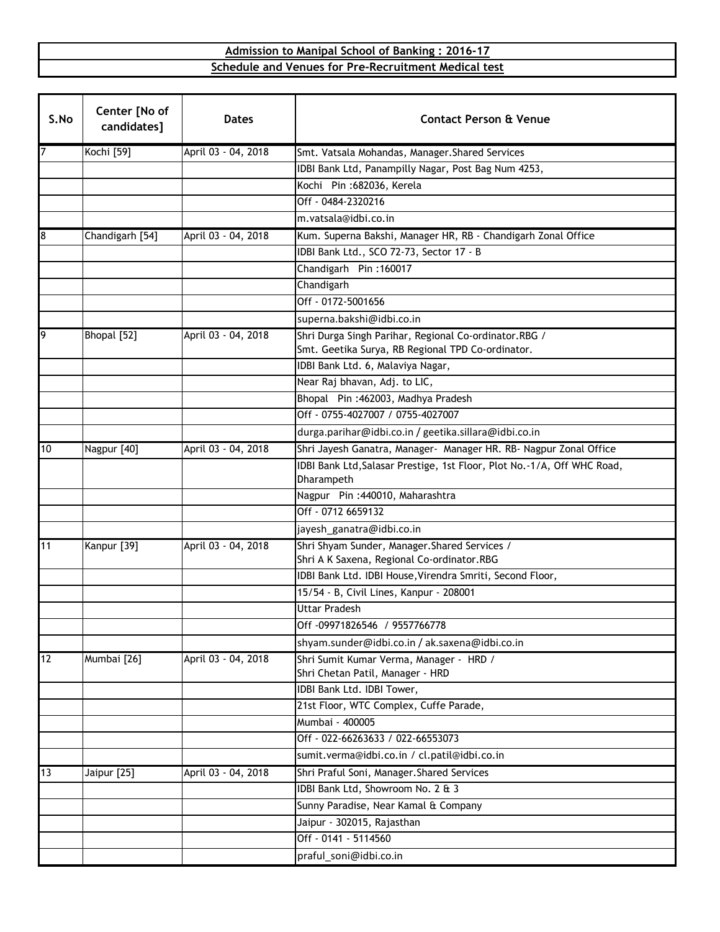## **Schedule and Venues for Pre-Recruitment Medical test Admission to Manipal School of Banking : 2016-17**

| S.No | Center [No of<br>candidates] | <b>Dates</b>        | <b>Contact Person &amp; Venue</b>                                           |
|------|------------------------------|---------------------|-----------------------------------------------------------------------------|
|      | Kochi [59]                   | April 03 - 04, 2018 | Smt. Vatsala Mohandas, Manager. Shared Services                             |
|      |                              |                     | IDBI Bank Ltd, Panampilly Nagar, Post Bag Num 4253,                         |
|      |                              |                     | Kochi Pin: 682036, Kerela                                                   |
|      |                              |                     | Off - 0484-2320216                                                          |
|      |                              |                     | m.vatsala@idbi.co.in                                                        |
| 8    | Chandigarh [54]              | April 03 - 04, 2018 | Kum. Superna Bakshi, Manager HR, RB - Chandigarh Zonal Office               |
|      |                              |                     | IDBI Bank Ltd., SCO 72-73, Sector 17 - B                                    |
|      |                              |                     | Chandigarh Pin: 160017                                                      |
|      |                              |                     | Chandigarh                                                                  |
|      |                              |                     | Off - 0172-5001656                                                          |
|      |                              |                     | superna.bakshi@idbi.co.in                                                   |
| 9    | Bhopal [52]                  | April 03 - 04, 2018 | Shri Durga Singh Parihar, Regional Co-ordinator.RBG /                       |
|      |                              |                     | Smt. Geetika Surya, RB Regional TPD Co-ordinator.                           |
|      |                              |                     | IDBI Bank Ltd. 6, Malaviya Nagar,                                           |
|      |                              |                     | Near Raj bhavan, Adj. to LIC,                                               |
|      |                              |                     | Bhopal Pin: 462003, Madhya Pradesh                                          |
|      |                              |                     | Off - 0755-4027007 / 0755-4027007                                           |
|      |                              |                     | durga.parihar@idbi.co.in / geetika.sillara@idbi.co.in                       |
| 10   | Nagpur [40]                  | April 03 - 04, 2018 | Shri Jayesh Ganatra, Manager- Manager HR. RB- Nagpur Zonal Office           |
|      |                              |                     | IDBI Bank Ltd, Salasar Prestige, 1st Floor, Plot No.-1/A, Off WHC Road,     |
|      |                              |                     | Dharampeth                                                                  |
|      |                              |                     | Nagpur Pin: 440010, Maharashtra                                             |
|      |                              |                     | Off - 0712 6659132                                                          |
|      |                              |                     | jayesh_ganatra@idbi.co.in                                                   |
| 11   | Kanpur [39]                  | April 03 - 04, 2018 | Shri Shyam Sunder, Manager. Shared Services /                               |
|      |                              |                     | Shri A K Saxena, Regional Co-ordinator.RBG                                  |
|      |                              |                     | IDBI Bank Ltd. IDBI House, Virendra Smriti, Second Floor,                   |
|      |                              |                     | 15/54 - B, Civil Lines, Kanpur - 208001<br><b>Uttar Pradesh</b>             |
|      |                              |                     |                                                                             |
|      |                              |                     | Off -09971826546 / 9557766778                                               |
|      |                              |                     | shyam.sunder@idbi.co.in / ak.saxena@idbi.co.in                              |
| 12   | Mumbai [26]                  | April 03 - 04, 2018 | Shri Sumit Kumar Verma, Manager - HRD /<br>Shri Chetan Patil, Manager - HRD |
|      |                              |                     | IDBI Bank Ltd. IDBI Tower,                                                  |
|      |                              |                     | 21st Floor, WTC Complex, Cuffe Parade,                                      |
|      |                              |                     | Mumbai - 400005                                                             |
|      |                              |                     | Off - 022-66263633 / 022-66553073                                           |
|      |                              |                     | sumit.verma@idbi.co.in / cl.patil@idbi.co.in                                |
| 13   | Jaipur [25]                  | April 03 - 04, 2018 | Shri Praful Soni, Manager. Shared Services                                  |
|      |                              |                     | IDBI Bank Ltd, Showroom No. 2 & 3                                           |
|      |                              |                     | Sunny Paradise, Near Kamal & Company                                        |
|      |                              |                     | Jaipur - 302015, Rajasthan                                                  |
|      |                              |                     | Off - 0141 - 5114560                                                        |
|      |                              |                     | praful_soni@idbi.co.in                                                      |
|      |                              |                     |                                                                             |